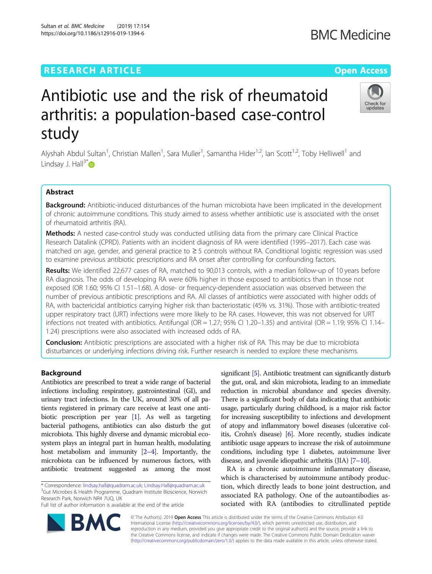# **RESEARCH ARTICLE Example 2014 12:30 The Company Access Open Access**

# Antibiotic use and the risk of rheumatoid arthritis: a population-based case-control study

Alyshah Abdul Sultan<sup>1</sup>, Christian Mallen<sup>1</sup>, Sara Muller<sup>1</sup>, Samantha Hider<sup>1,2</sup>, Ian Scott<sup>1,2</sup>, Toby Helliwell<sup>1</sup> and Lindsay J. Hall $3^*$ 

# Abstract

Background: Antibiotic-induced disturbances of the human microbiota have been implicated in the development of chronic autoimmune conditions. This study aimed to assess whether antibiotic use is associated with the onset of rheumatoid arthritis (RA).

Methods: A nested case-control study was conducted utilising data from the primary care Clinical Practice Research Datalink (CPRD). Patients with an incident diagnosis of RA were identified (1995–2017). Each case was matched on age, gender, and general practice to ≥ 5 controls without RA. Conditional logistic regression was used to examine previous antibiotic prescriptions and RA onset after controlling for confounding factors.

Results: We identified 22,677 cases of RA, matched to 90,013 controls, with a median follow-up of 10 years before RA diagnosis. The odds of developing RA were 60% higher in those exposed to antibiotics than in those not exposed (OR 1.60; 95% CI 1.51–1.68). A dose- or frequency-dependent association was observed between the number of previous antibiotic prescriptions and RA. All classes of antibiotics were associated with higher odds of RA, with bactericidal antibiotics carrying higher risk than bacteriostatic (45% vs. 31%). Those with antibiotic-treated upper respiratory tract (URT) infections were more likely to be RA cases. However, this was not observed for URT infections not treated with antibiotics. Antifungal ( $OR = 1.27$ ; 95% CI 1.20–1.35) and antiviral ( $OR = 1.19$ ; 95% CI 1.14– 1.24) prescriptions were also associated with increased odds of RA.

**Conclusion:** Antibiotic prescriptions are associated with a higher risk of RA. This may be due to microbiota disturbances or underlying infections driving risk. Further research is needed to explore these mechanisms.

# Background

Antibiotics are prescribed to treat a wide range of bacterial infections including respiratory, gastrointestinal (GI), and urinary tract infections. In the UK, around 30% of all patients registered in primary care receive at least one antibiotic prescription per year [[1](#page-7-0)]. As well as targeting bacterial pathogens, antibiotics can also disturb the gut microbiota. This highly diverse and dynamic microbial ecosystem plays an integral part in human health, modulating host metabolism and immunity [[2](#page-7-0)–[4\]](#page-7-0). Importantly, the microbiota can be influenced by numerous factors, with antibiotic treatment suggested as among the most

\* Correspondence: [lindsay.hall@quadram.ac.uk](mailto:lindsay.hall@quadram.ac.uk); [Lindsay.Hall@quadram.ac.uk](mailto:Lindsay.Hall@quadram.ac.uk) <sup>3</sup> <sup>3</sup>Gut Microbes & Health Programme, Quadram Institute Bioscience, Norwich Research Park, Norwich NR4 7UQ, UK

Full list of author information is available at the end of the article

RA

significant [\[5\]](#page-7-0). Antibiotic treatment can significantly disturb the gut, oral, and skin microbiota, leading to an immediate reduction in microbial abundance and species diversity. There is a significant body of data indicating that antibiotic usage, particularly during childhood, is a major risk factor for increasing susceptibility to infections and development of atopy and inflammatory bowel diseases (ulcerative colitis, Crohn's disease) [[6](#page-7-0)]. More recently, studies indicate antibiotic usage appears to increase the risk of autoimmune conditions, including type 1 diabetes, autoimmune liver disease, and juvenile idiopathic arthritis  $(IIA)$   $[7–10]$  $[7–10]$  $[7–10]$  $[7–10]$ .

RA is a chronic autoimmune inflammatory disease, which is characterised by autoimmune antibody production, which directly leads to bone joint destruction, and associated RA pathology. One of the autoantibodies associated with RA (antibodies to citrullinated peptide

© The Author(s). 2019 **Open Access** This article is distributed under the terms of the Creative Commons Attribution 4.0 International License [\(http://creativecommons.org/licenses/by/4.0/](http://creativecommons.org/licenses/by/4.0/)), which permits unrestricted use, distribution, and reproduction in any medium, provided you give appropriate credit to the original author(s) and the source, provide a link to the Creative Commons license, and indicate if changes were made. The Creative Commons Public Domain Dedication waiver [\(http://creativecommons.org/publicdomain/zero/1.0/](http://creativecommons.org/publicdomain/zero/1.0/)) applies to the data made available in this article, unless otherwise stated.



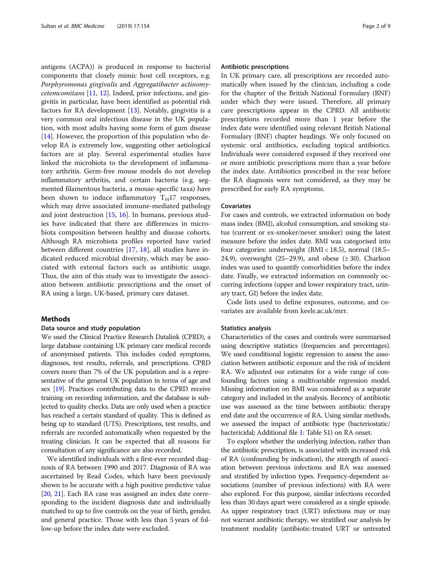antigens (ACPA)) is produced in response to bacterial components that closely mimic host cell receptors, e.g. Porphyromonas gingivalis and Aggregatibacter actinomy*cetemcomitans* [[11](#page-8-0), [12](#page-8-0)]. Indeed, prior infections, and gingivitis in particular, have been identified as potential risk factors for RA development [\[13](#page-8-0)]. Notably, gingivitis is a very common oral infectious disease in the UK population, with most adults having some form of gum disease  $[14]$  $[14]$ . However, the proportion of this population who develop RA is extremely low, suggesting other aetiological factors are at play. Several experimental studies have linked the microbiota to the development of inflammatory arthritis. Germ-free mouse models do not develop inflammatory arthritis, and certain bacteria (e.g. segmented filamentous bacteria, a mouse-specific taxa) have been shown to induce inflammatory  $T_H17$  responses, which may drive associated immune-mediated pathology and joint destruction [[15,](#page-8-0) [16\]](#page-8-0). In humans, previous studies have indicated that there are differences in microbiota composition between healthy and disease cohorts. Although RA microbiota profiles reported have varied between different countries [\[17,](#page-8-0) [18\]](#page-8-0), all studies have indicated reduced microbial diversity, which may be associated with external factors such as antibiotic usage. Thus, the aim of this study was to investigate the association between antibiotic prescriptions and the onset of RA using a large, UK-based, primary care dataset.

#### Methods

#### Data source and study population

We used the Clinical Practice Research Datalink (CPRD), a large database containing UK primary care medical records of anonymised patients. This includes coded symptoms, diagnoses, test results, referrals, and prescriptions. CPRD covers more than 7% of the UK population and is a representative of the general UK population in terms of age and sex [\[19\]](#page-8-0). Practices contributing data to the CPRD receive training on recording information, and the database is subjected to quality checks. Data are only used when a practice has reached a certain standard of quality. This is defined as being up to standard (UTS). Prescriptions, test results, and referrals are recorded automatically when requested by the treating clinician. It can be expected that all reasons for consultation of any significance are also recorded.

We identified individuals with a first-ever recorded diagnosis of RA between 1990 and 2017. Diagnosis of RA was ascertained by Read Codes, which have been previously shown to be accurate with a high positive predictive value [[20](#page-8-0), [21](#page-8-0)]. Each RA case was assigned an index date corresponding to the incident diagnosis date and individually matched to up to five controls on the year of birth, gender, and general practice. Those with less than 5 years of follow-up before the index date were excluded.

#### Antibiotic prescriptions

In UK primary care, all prescriptions are recorded automatically when issued by the clinician, including a code for the chapter of the British National Formulary (BNF) under which they were issued. Therefore, all primary care prescriptions appear in the CPRD. All antibiotic prescriptions recorded more than 1 year before the index date were identified using relevant British National Formulary (BNF) chapter headings. We only focused on systemic oral antibiotics, excluding topical antibiotics. Individuals were considered exposed if they received one or more antibiotic prescriptions more than a year before the index date. Antibiotics prescribed in the year before the RA diagnosis were not considered, as they may be prescribed for early RA symptoms.

#### Covariates

For cases and controls, we extracted information on body mass index (BMI), alcohol consumption, and smoking status (current or ex-smoker/never smoker) using the latest measure before the index date. BMI was categorised into four categories: underweight (BMI < 18.5), normal (18.5– 24.9), overweight (25–29.9), and obese ( $\geq$  30). Charlson index was used to quantify comorbidities before the index date. Finally, we extracted information on commonly occurring infections (upper and lower respiratory tract, urinary tract, GI) before the index date.

Code lists used to define exposures, outcome, and covariates are available from keele.ac.uk/mrr.

#### Statistics analysis

Characteristics of the cases and controls were summarised using descriptive statistics (frequencies and percentages). We used conditional logistic regression to assess the association between antibiotic exposure and the risk of incident RA. We adjusted our estimates for a wide range of confounding factors using a multivariable regression model. Missing information on BMI was considered as a separate category and included in the analysis. Recency of antibiotic use was assessed as the time between antibiotic therapy end date and the occurrence of RA. Using similar methods, we assessed the impact of antibiotic type (bacteriostatic/ bactericidal; Additional file [1:](#page-7-0) Table S1) on RA onset.

To explore whether the underlying infection, rather than the antibiotic prescription, is associated with increased risk of RA (confounding by indication), the strength of association between previous infections and RA was assessed and stratified by infection types. Frequency-dependent associations (number of previous infections) with RA were also explored. For this purpose, similar infections recorded less than 30 days apart were considered as a single episode. As upper respiratory tract (URT) infections may or may not warrant antibiotic therapy, we stratified our analysis by treatment modality (antibiotic-treated URT or untreated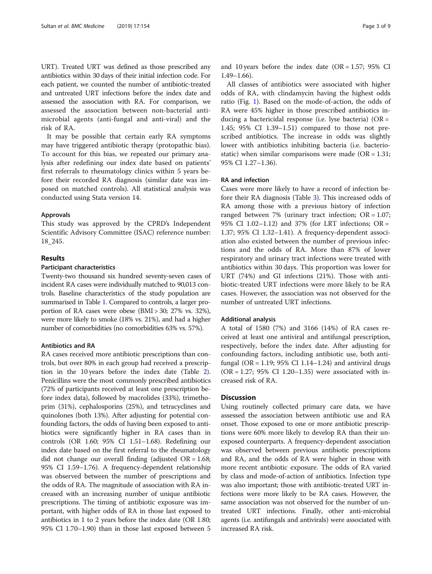URT). Treated URT was defined as those prescribed any antibiotics within 30 days of their initial infection code. For each patient, we counted the number of antibiotic-treated and untreated URT infections before the index date and assessed the association with RA. For comparison, we assessed the association between non-bacterial antimicrobial agents (anti-fungal and anti-viral) and the risk of RA.

It may be possible that certain early RA symptoms may have triggered antibiotic therapy (protopathic bias). To account for this bias, we repeated our primary analysis after redefining our index date based on patients' first referrals to rheumatology clinics within 5 years before their recorded RA diagnosis (similar date was imposed on matched controls). All statistical analysis was conducted using Stata version 14.

#### Approvals

This study was approved by the CPRD's Independent Scientific Advisory Committee (ISAC) reference number: 18\_245.

# Results

#### Participant characteristics

Twenty-two thousand six hundred seventy-seven cases of incident RA cases were individually matched to 90,013 controls. Baseline characteristics of the study population are summarised in Table [1.](#page-3-0) Compared to controls, a larger proportion of RA cases were obese (BMI > 30; 27% vs. 32%), were more likely to smoke (18% vs. 21%), and had a higher number of comorbidities (no comorbidities 63% vs. 57%).

# Antibiotics and RA

RA cases received more antibiotic prescriptions than controls, but over 80% in each group had received a prescription in the 10 years before the index date (Table [2](#page-4-0)). Penicillins were the most commonly prescribed antibiotics (72% of participants received at least one prescription before index data), followed by macrolides (33%), trimethoprim (31%), cephalosporins (25%), and tetracyclines and quinolones (both 13%). After adjusting for potential confounding factors, the odds of having been exposed to antibiotics were significantly higher in RA cases than in controls (OR 1.60; 95% CI 1.51–1.68). Redefining our index date based on the first referral to the rheumatology did not change our overall finding (adjusted  $OR = 1.68$ ; 95% CI 1.59–1.76). A frequency-dependent relationship was observed between the number of prescriptions and the odds of RA. The magnitude of association with RA increased with an increasing number of unique antibiotic prescriptions. The timing of antibiotic exposure was important, with higher odds of RA in those last exposed to antibiotics in 1 to 2 years before the index date (OR 1.80; 95% CI 1.70–1.90) than in those last exposed between 5 and 10 years before the index date  $(OR = 1.57; 95\% \text{ CI})$ 1.49–1.66).

All classes of antibiotics were associated with higher odds of RA, with clindamycin having the highest odds ratio (Fig. [1\)](#page-4-0). Based on the mode-of-action, the odds of RA were 45% higher in those prescribed antibiotics inducing a bactericidal response (i.e. lyse bacteria) (OR = 1.45; 95% CI 1.39–1.51) compared to those not prescribed antibiotics. The increase in odds was slightly lower with antibiotics inhibiting bacteria (i.e. bacteriostatic) when similar comparisons were made ( $OR = 1.31$ ; 95% CI 1.27–1.36).

## RA and infection

Cases were more likely to have a record of infection before their RA diagnosis (Table [3\)](#page-5-0). This increased odds of RA among those with a previous history of infection ranged between 7% (urinary tract infection;  $OR = 1.07$ ; 95% CI 1.02–1.12) and 37% (for LRT infections; OR = 1.37; 95% CI 1.32–1.41). A frequency-dependent association also existed between the number of previous infections and the odds of RA. More than 87% of lower respiratory and urinary tract infections were treated with antibiotics within 30 days. This proportion was lower for URT (74%) and GI infections (21%). Those with antibiotic-treated URT infections were more likely to be RA cases. However, the association was not observed for the number of untreated URT infections.

## Additional analysis

A total of 1580 (7%) and 3166 (14%) of RA cases received at least one antiviral and antifungal prescription, respectively, before the index date. After adjusting for confounding factors, including antibiotic use, both antifungal (OR = 1.19;  $95\%$  CI 1.14–1.24) and antiviral drugs  $(OR = 1.27; 95\% CI 1.20-1.35)$  were associated with increased risk of RA.

## **Discussion**

Using routinely collected primary care data, we have assessed the association between antibiotic use and RA onset. Those exposed to one or more antibiotic prescriptions were 60% more likely to develop RA than their unexposed counterparts. A frequency-dependent association was observed between previous antibiotic prescriptions and RA, and the odds of RA were higher in those with more recent antibiotic exposure. The odds of RA varied by class and mode-of-action of antibiotics. Infection type was also important; those with antibiotic-treated URT infections were more likely to be RA cases. However, the same association was not observed for the number of untreated URT infections. Finally, other anti-microbial agents (i.e. antifungals and antivirals) were associated with increased RA risk.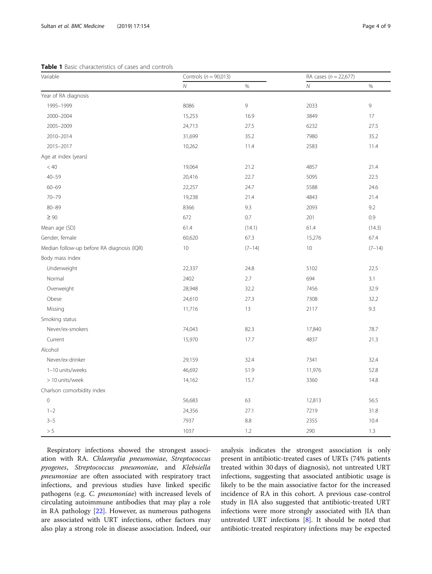<span id="page-3-0"></span>

| Variable                                   | Controls ( $n = 90,013$ ) |          | RA cases ( $n = 22,677$ ) |          |
|--------------------------------------------|---------------------------|----------|---------------------------|----------|
|                                            | $\cal N$                  | $\%$     | ${\cal N}$                | $\%$     |
| Year of RA diagnosis                       |                           |          |                           |          |
| 1995-1999                                  | 8086                      | 9        | 2033                      | 9        |
| 2000-2004                                  | 15,253                    | 16.9     | 3849                      | 17       |
| 2005-2009                                  | 24,713                    | 27.5     | 6232                      | 27.5     |
| 2010-2014                                  | 31,699                    | 35.2     | 7980                      | 35.2     |
| 2015-2017                                  | 10,262                    | 11.4     | 2583                      | 11.4     |
| Age at index (years)                       |                           |          |                           |          |
| < 40                                       | 19,064                    | 21.2     | 4857                      | 21.4     |
| $40 - 59$                                  | 20,416                    | 22.7     | 5095                      | 22.5     |
| $60 - 69$                                  | 22,257                    | 24.7     | 5588                      | 24.6     |
| $70 - 79$                                  | 19,238                    | 21.4     | 4843                      | 21.4     |
| $80 - 89$                                  | 8366                      | 9.3      | 2093                      | 9.2      |
| $\geq 90$                                  | 672                       | 0.7      | 201                       | 0.9      |
| Mean age (SD)                              | 61.4                      | (14.1)   | 61.4                      | (14.3)   |
| Gender, female                             | 60,620                    | 67.3     | 15,276                    | 67.4     |
| Median follow-up before RA diagnosis (IQR) | 10                        | $(7-14)$ | 10                        | $(7-14)$ |
| Body mass index                            |                           |          |                           |          |
| Underweight                                | 22,337                    | 24.8     | 5102                      | 22.5     |
| Normal                                     | 2402                      | 2.7      | 694                       | 3.1      |
| Overweight                                 | 28,948                    | 32.2     | 7456                      | 32.9     |
| Obese                                      | 24,610                    | 27.3     | 7308                      | 32.2     |
| Missing                                    | 11,716                    | 13       | 2117                      | 9.3      |
| Smoking status                             |                           |          |                           |          |
| Never/ex-smokers                           | 74,043                    | 82.3     | 17,840                    | 78.7     |
| Current                                    | 15,970                    | 17.7     | 4837                      | 21.3     |
| Alcohol                                    |                           |          |                           |          |
| Never/ex-drinker                           | 29,159                    | 32.4     | 7341                      | 32.4     |
| 1-10 units/weeks                           | 46,692                    | 51.9     | 11,976                    | 52.8     |
| > 10 units/week                            | 14,162                    | 15.7     | 3360                      | 14.8     |
| Charlson comorbidity index                 |                           |          |                           |          |
| $\mathbf 0$                                | 56,683                    | 63       | 12,813                    | 56.5     |
| $1 - 2$                                    | 24,356                    | 27.1     | 7219                      | 31.8     |
| $3 - 5$                                    | 7937                      | 8.8      | 2355                      | 10.4     |
| $> 5\,$                                    | 1037                      | 1.2      | 290                       | 1.3      |

Respiratory infections showed the strongest association with RA. Chlamydia pneumoniae, Streptococcus pyogenes, Streptococcus pneumoniae, and Klebsiella pneumoniae are often associated with respiratory tract infections, and previous studies have linked specific pathogens (e.g. C. pneumoniae) with increased levels of circulating autoimmune antibodies that may play a role in RA pathology [[22\]](#page-8-0). However, as numerous pathogens are associated with URT infections, other factors may also play a strong role in disease association. Indeed, our analysis indicates the strongest association is only present in antibiotic-treated cases of URTs (74% patients treated within 30 days of diagnosis), not untreated URT infections, suggesting that associated antibiotic usage is likely to be the main associative factor for the increased incidence of RA in this cohort. A previous case-control study in JIA also suggested that antibiotic-treated URT infections were more strongly associated with JIA than untreated URT infections  $[8]$ . It should be noted that antibiotic-treated respiratory infections may be expected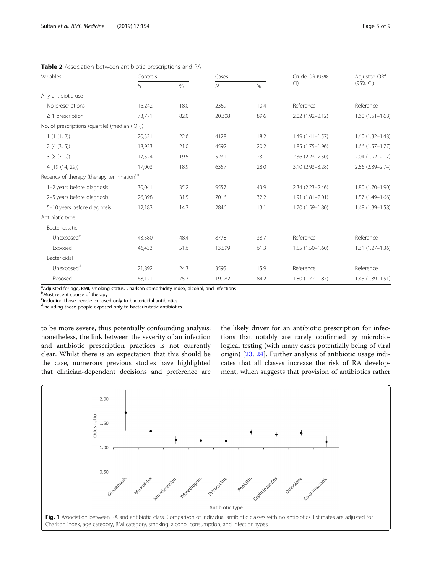| Variables                                             | Controls     |      | Cases          |      | Crude OR (95%       | Adjusted OR <sup>a</sup> |
|-------------------------------------------------------|--------------|------|----------------|------|---------------------|--------------------------|
|                                                       | $\mathcal N$ | $\%$ | $\overline{N}$ | $\%$ | Cl                  | (95% CI)                 |
| Any antibiotic use                                    |              |      |                |      |                     |                          |
| No prescriptions                                      | 16,242       | 18.0 | 2369           | 10.4 | Reference           | Reference                |
| $\geq$ 1 prescription                                 | 73,771       | 82.0 | 20,308         | 89.6 | $2.02(1.92 - 2.12)$ | $1.60(1.51 - 1.68)$      |
| No. of prescriptions (quartile) (median (IQR))        |              |      |                |      |                     |                          |
| 1(1(1, 2))                                            | 20,321       | 22.6 | 4128           | 18.2 | $1.49(1.41 - 1.57)$ | 1.40 (1.32-1.48)         |
| 2(4(3, 5))                                            | 18,923       | 21.0 | 4592           | 20.2 | $1.85(1.75 - 1.96)$ | $1.66(1.57-1.77)$        |
| 3(8(7, 9))                                            | 17,524       | 19.5 | 5231           | 23.1 | $2.36(2.23 - 2.50)$ | 2.04 (1.92-2.17)         |
| 4 (19 (14, 29))                                       | 17,003       | 18.9 | 6357           | 28.0 | 3.10 (2.93-3.28)    | 2.56 (2.39-2.74)         |
| Recency of therapy (therapy termination) <sup>b</sup> |              |      |                |      |                     |                          |
| 1-2 years before diagnosis                            | 30,041       | 35.2 | 9557           | 43.9 | $2.34(2.23 - 2.46)$ | 1.80 (1.70-1.90)         |
| 2-5 years before diagnosis                            | 26,898       | 31.5 | 7016           | 32.2 | $1.91(1.81 - 2.01)$ | 1.57 (1.49-1.66)         |
| 5-10 years before diagnosis                           | 12,183       | 14.3 | 2846           | 13.1 | 1.70 (1.59-1.80)    | 1.48 (1.39-1.58)         |
| Antibiotic type                                       |              |      |                |      |                     |                          |
| Bacteriostatic                                        |              |      |                |      |                     |                          |
| Unexposed <sup>c</sup>                                | 43,580       | 48.4 | 8778           | 38.7 | Reference           | Reference                |
| Exposed                                               | 46,433       | 51.6 | 13,899         | 61.3 | $1.55(1.50-1.60)$   | $1.31(1.27 - 1.36)$      |
| Bactericidal                                          |              |      |                |      |                     |                          |
| Unexposed <sup>d</sup>                                | 21,892       | 24.3 | 3595           | 15.9 | Reference           | Reference                |
| Exposed                                               | 68,121       | 75.7 | 19,082         | 84.2 | $1.80(1.72 - 1.87)$ | 1.45 (1.39-1.51)         |

<span id="page-4-0"></span>Table 2 Association between antibiotic prescriptions and RA

<sup>a</sup>Adjusted for age, BMI, smoking status, Charlson comorbidity index, alcohol, and infections

**Most recent course of therapy** 

<sup>c</sup>Including those people exposed only to bactericidal antibiotics

d<sub>Including</sub> those people exposed only to bacteriostatic antibiotics

to be more severe, thus potentially confounding analysis; nonetheless, the link between the severity of an infection and antibiotic prescription practices is not currently clear. Whilst there is an expectation that this should be the case, numerous previous studies have highlighted that clinician-dependent decisions and preference are the likely driver for an antibiotic prescription for infections that notably are rarely confirmed by microbiological testing (with many cases potentially being of viral origin) [\[23](#page-8-0), [24](#page-8-0)]. Further analysis of antibiotic usage indicates that all classes increase the risk of RA development, which suggests that provision of antibiotics rather

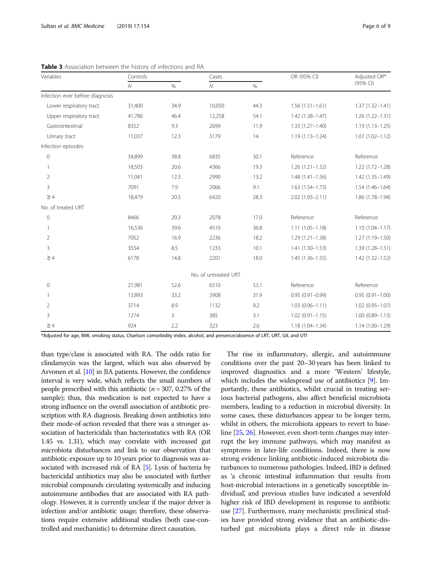| Variables                       | Controls       |      | Cases                |      | OR (95% CI)         | Adjusted OR*        |
|---------------------------------|----------------|------|----------------------|------|---------------------|---------------------|
|                                 | $\overline{N}$ | $\%$ | $\overline{N}$       | $\%$ |                     | (95% CI)            |
| Infection ever before diagnosis |                |      |                      |      |                     |                     |
| Lower respiratory tract         | 31,400         | 34.9 | 10,050               | 44.3 | $1.56(1.51-1.61)$   | $1.37(1.32 - 1.41)$ |
| Upper respiratory tract         | 41,786         | 46.4 | 12,258               | 54.1 | $1.42(1.38 - 1.47)$ | $1.26(1.22 - 1.31)$ |
| Gastrointestinal                | 8352           | 9.3  | 2699                 | 11.9 | $1.33(1.27 - 1.40)$ | $1.19(1.13 - 1.25)$ |
| Urinary tract                   | 11,037         | 12.3 | 3179                 | 14   | $1.19(1.13 - 1.24)$ | $1.07(1.02 - 1.12)$ |
| Infection episodes              |                |      |                      |      |                     |                     |
| $\mathsf{O}\xspace$             | 34,899         | 38.8 | 6835                 | 30.1 | Reference           | Reference           |
| 1                               | 18,503         | 20.6 | 4366                 | 19.3 | $1.26(1.21 - 1.32)$ | $1.22(1.72 - 1.28)$ |
| $\overline{2}$                  | 11,041         | 12.3 | 2990                 | 13.2 | $1.48(1.41 - 1.56)$ | $1.42(1.35 - 1.49)$ |
| 3                               | 7091           | 7.9  | 2066                 | 9.1  | $1.63(1.54 - 1.73)$ | $1.54(1.46 - 1.64)$ |
| $\geq 4$                        | 18,479         | 20.5 | 6420                 | 28.3 | $2.02(1.93 - 2.11)$ | 1.86 (1.78-1.94)    |
| No. of treated URT              |                |      |                      |      |                     |                     |
| $\mathbf 0$                     | 8466           | 20.3 | 2078                 | 17.0 | Reference           | Reference           |
|                                 | 16,536         | 39.6 | 4510                 | 36.8 | $1.11(1.05 - 1.18)$ | $1.10(1.04 - 1.17)$ |
| $\overline{2}$                  | 7052           | 16.9 | 2236                 | 18.2 | $1.29(1.21 - 1.38)$ | $1.27(1.19 - 1.50)$ |
| 3                               | 3554           | 8.5  | 1233                 | 10.1 | $1.41(1.30 - 1.53)$ | $1.39(1.28 - 1.51)$ |
| $\geq 4$                        | 6178           | 14.8 | 2201                 | 18.0 | $1.45(1.36 - 1.55)$ | $1.42(1.32 - 1.52)$ |
|                                 |                |      | No. of untreated URT |      |                     |                     |
| 0                               | 21,981         | 52.6 | 6510                 | 53.1 | Reference           | Reference           |
|                                 | 13,893         | 33.2 | 3908                 | 31.9 | $0.95(0.91 - 0.99)$ | $0.95(0.91 - 1.00)$ |
| $\overline{2}$                  | 3714           | 8.9  | 1132                 | 9.2  | $1.03(0.96 - 1.11)$ | $1.02(0.95 - 1.07)$ |
| 3                               | 1274           | 3    | 385                  | 3.1  | $1.02(0.91 - 1.15)$ | $1.00(0.89 - 1.13)$ |
| $\geq 4$                        | 924            | 2.2  | 323                  | 2.6  | $1.18(1.04 - 1.34)$ | $1.14(1.00 - 1.29)$ |

<span id="page-5-0"></span>Table 3 Association between the history of infections and RA

\*Adjusted for age, BMI, smoking status, Charlson comorbidity index, alcohol, and presence/absence of LRT, URT, GII, and UTI

than type/class is associated with RA. The odds ratio for clindamycin was the largest, which was also observed by Arvonen et al. [[10](#page-7-0)] in JIA patients. However, the confidence interval is very wide, which reflects the small numbers of people prescribed with this antibiotic ( $n = 307, 0.27\%$  of the sample); thus, this medication is not expected to have a strong influence on the overall association of antibiotic prescription with RA diagnosis. Breaking down antibiotics into their mode-of-action revealed that there was a stronger association of bactericidals than bacteriostatics with RA (OR 1.45 vs. 1.31), which may correlate with increased gut microbiota disturbances and link to our observation that antibiotic exposure up to 10 years prior to diagnosis was associated with increased risk of RA [\[5\]](#page-7-0). Lysis of bacteria by bactericidal antibiotics may also be associated with further microbial compounds circulating systemically and inducing autoimmune antibodies that are associated with RA pathology. However, it is currently unclear if the major driver is infection and/or antibiotic usage; therefore, these observations require extensive additional studies (both case-controlled and mechanistic) to determine direct causation.

The rise in inflammatory, allergic, and autoimmune conditions over the past 20–30 years has been linked to improved diagnostics and a more 'Western' lifestyle, which includes the widespread use of antibiotics [\[9\]](#page-7-0). Importantly, these antibiotics, whilst crucial in treating serious bacterial pathogens, also affect beneficial microbiota members, leading to a reduction in microbial diversity. In some cases, these disturbances appear to be longer term, whilst in others, the microbiota appears to revert to baseline [\[25,](#page-8-0) [26\]](#page-8-0). However, even short-term changes may interrupt the key immune pathways, which may manifest as symptoms in later-life conditions. Indeed, there is now strong evidence linking antibiotic-induced microbiota disturbances to numerous pathologies. Indeed, IBD is defined as 'a chronic intestinal inflammation that results from host-microbial interactions in a genetically susceptible individual', and previous studies have indicated a sevenfold higher risk of IBD development in response to antibiotic use [\[27\]](#page-8-0). Furthermore, many mechanistic preclinical studies have provided strong evidence that an antibiotic-disturbed gut microbiota plays a direct role in disease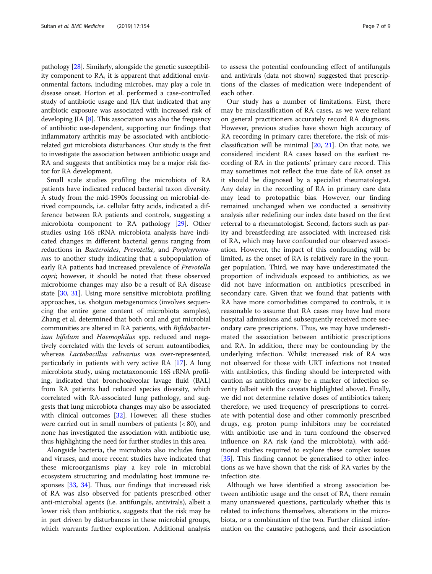pathology [[28](#page-8-0)]. Similarly, alongside the genetic susceptibility component to RA, it is apparent that additional environmental factors, including microbes, may play a role in disease onset. Horton et al. performed a case-controlled study of antibiotic usage and JIA that indicated that any antibiotic exposure was associated with increased risk of developing JIA [\[8](#page-7-0)]. This association was also the frequency of antibiotic use-dependent, supporting our findings that inflammatory arthritis may be associated with antibioticrelated gut microbiota disturbances. Our study is the first to investigate the association between antibiotic usage and RA and suggests that antibiotics may be a major risk factor for RA development.

Small scale studies profiling the microbiota of RA patients have indicated reduced bacterial taxon diversity. A study from the mid-1990s focussing on microbial-derived compounds, i.e. cellular fatty acids, indicated a difference between RA patients and controls, suggesting a microbiota component to RA pathology [[29](#page-8-0)]. Other studies using 16S rRNA microbiota analysis have indicated changes in different bacterial genus ranging from reductions in Bacteroides, Prevotella, and Porphyromonas to another study indicating that a subpopulation of early RA patients had increased prevalence of Prevotella copri; however, it should be noted that these observed microbiome changes may also be a result of RA disease state [[30](#page-8-0), [31](#page-8-0)]. Using more sensitive microbiota profiling approaches, i.e. shotgun metagenomics (involves sequencing the entire gene content of microbiota samples), Zhang et al. determined that both oral and gut microbial communities are altered in RA patients, with Bifidobacterium bifidum and Haemophilus spp. reduced and negatively correlated with the levels of serum autoantibodies, whereas Lactobacillus salivarius was over-represented, particularly in patients with very active RA [\[17\]](#page-8-0). A lung microbiota study, using metataxonomic 16S rRNA profiling, indicated that bronchoalveolar lavage fluid (BAL) from RA patients had reduced species diversity, which correlated with RA-associated lung pathology, and suggests that lung microbiota changes may also be associated with clinical outcomes [[32\]](#page-8-0). However, all these studies were carried out in small numbers of patients  $( $80$ ), and$ none has investigated the association with antibiotic use, thus highlighting the need for further studies in this area.

Alongside bacteria, the microbiota also includes fungi and viruses, and more recent studies have indicated that these microorganisms play a key role in microbial ecosystem structuring and modulating host immune responses [\[33](#page-8-0), [34](#page-8-0)]. Thus, our findings that increased risk of RA was also observed for patients prescribed other anti-microbial agents (i.e. antifungals, antivirals), albeit a lower risk than antibiotics, suggests that the risk may be in part driven by disturbances in these microbial groups, which warrants further exploration. Additional analysis

to assess the potential confounding effect of antifungals and antivirals (data not shown) suggested that prescriptions of the classes of medication were independent of each other.

Our study has a number of limitations. First, there may be misclassification of RA cases, as we were reliant on general practitioners accurately record RA diagnosis. However, previous studies have shown high accuracy of RA recording in primary care; therefore, the risk of misclassification will be minimal [[20](#page-8-0), [21\]](#page-8-0). On that note, we considered incident RA cases based on the earliest recording of RA in the patients' primary care record. This may sometimes not reflect the true date of RA onset as it should be diagnosed by a specialist rheumatologist. Any delay in the recording of RA in primary care data may lead to protopathic bias. However, our finding remained unchanged when we conducted a sensitivity analysis after redefining our index date based on the first referral to a rheumatologist. Second, factors such as parity and breastfeeding are associated with increased risk of RA, which may have confounded our observed association. However, the impact of this confounding will be limited, as the onset of RA is relatively rare in the younger population. Third, we may have underestimated the proportion of individuals exposed to antibiotics, as we did not have information on antibiotics prescribed in secondary care. Given that we found that patients with RA have more comorbidities compared to controls, it is reasonable to assume that RA cases may have had more hospital admissions and subsequently received more secondary care prescriptions. Thus, we may have underestimated the association between antibiotic prescriptions and RA. In addition, there may be confounding by the underlying infection. Whilst increased risk of RA was not observed for those with URT infections not treated with antibiotics, this finding should be interpreted with caution as antibiotics may be a marker of infection severity (albeit with the caveats highlighted above). Finally, we did not determine relative doses of antibiotics taken; therefore, we used frequency of prescriptions to correlate with potential dose and other commonly prescribed drugs, e.g. proton pump inhibitors may be correlated with antibiotic use and in turn confound the observed influence on RA risk (and the microbiota), with additional studies required to explore these complex issues [[35\]](#page-8-0). This finding cannot be generalised to other infections as we have shown that the risk of RA varies by the infection site.

Although we have identified a strong association between antibiotic usage and the onset of RA, there remain many unanswered questions, particularly whether this is related to infections themselves, alterations in the microbiota, or a combination of the two. Further clinical information on the causative pathogens, and their association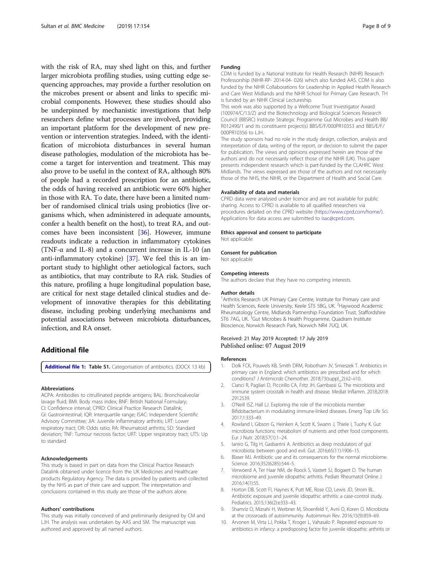<span id="page-7-0"></span>with the risk of RA, may shed light on this, and further larger microbiota profiling studies, using cutting edge sequencing approaches, may provide a further resolution on the microbes present or absent and links to specific microbial components. However, these studies should also be underpinned by mechanistic investigations that help researchers define what processes are involved, providing an important platform for the development of new prevention or intervention strategies. Indeed, with the identification of microbiota disturbances in several human disease pathologies, modulation of the microbiota has become a target for intervention and treatment. This may also prove to be useful in the context of RA, although 80% of people had a recorded prescription for an antibiotic, the odds of having received an antibiotic were 60% higher in those with RA. To date, there have been a limited number of randomised clinical trials using probiotics (live organisms which, when administered in adequate amounts, confer a health benefit on the host), to treat RA, and outcomes have been inconsistent [\[36](#page-8-0)]. However, immune readouts indicate a reduction in inflammatory cytokines (TNF-α and IL-8) and a concurrent increase in IL-10 (an anti-inflammatory cytokine) [[37](#page-8-0)]. We feel this is an important study to highlight other aetiological factors, such as antibiotics, that may contribute to RA risk. Studies of this nature, profiling a huge longitudinal population base, are critical for next stage detailed clinical studies and development of innovative therapies for this debilitating disease, including probing underlying mechanisms and potential associations between microbiota disturbances, infection, and RA onset.

# Additional file

[Additional file 1:](https://doi.org/10.1186/s12916-019-1394-6) Table S1. Categorisation of antibiotics. (DOCX 13 kb)

#### Abbreviations

ACPA: Antibodies to citrullinated peptide antigens; BAL: Bronchoalveolar lavage fluid; BMI: Body mass index; BNF: British National Formulary; CI: Confidence interval; CPRD: Clinical Practice Research Datalink; GI: Gastrointestinal; IQR: Interquartile range; ISAC: Independent Scientific Advisory Committee; JIA: Juvenile inflammatory arthritis; LRT: Lower respiratory tract; OR: Odds ratio; RA: Rheumatoid arthritis; SD: Standard deviation; TNF: Tumour necrosis factor; URT: Upper respiratory tract; UTS: Up to standard

#### Acknowledgements

This study is based in part on data from the Clinical Practice Research Datalink obtained under licence from the UK Medicines and Healthcare products Regulatory Agency. The data is provided by patients and collected by the NHS as part of their care and support. The interpretation and conclusions contained in this study are those of the authors alone.

#### Authors' contributions

This study was initially conceived of and preliminarily designed by CM and LJH. The analysis was undertaken by AAS and SM. The manuscript was authored and approved by all named authors.

#### Funding

CDM is funded by a National Institute for Health Research (NIHR) Research Professorship (NIHR-RP- 2014-04- 026) which also funded AAS. CDM is also funded by the NIHR Collaborations for Leadership in Applied Health Research and Care West Midlands and the NIHR School for Primary Care Research. TH is funded by an NIHR Clinical Lectureship.

This work was also supported by a Wellcome Trust Investigator Award (100974/C/13/Z) and the Biotechnology and Biological Sciences Research Council (BBSRC) Institute Strategic Programme Gut Microbes and Health BB/ R012490/1 and its constituent project(s) BBS/E/F/000PR10353 and BBS/E/F/ 000PR10356 to LJH.

The study sponsors had no role in the study design, collection, analysis and interpretation of data, writing of the report, or decision to submit the paper for publication. The views and opinions expressed herein are those of the authors and do not necessarily reflect those of the NIHR (UK). This paper presents independent research which is part-funded by the CLAHRC West Midlands. The views expressed are those of the authors and not necessarily those of the NHS, the NIHR, or the Department of Health and Social Care.

#### Availability of data and materials

CPRD data were analysed under licence and are not available for public sharing. Access to CPRD is available to all qualified researchers via procedures detailed on the CPRD website ([https://www.cprd.com/home/\)](https://www.cprd.com/home/). Applications for data access are submitted to [isac@cprd.com.](mailto:isac@cprd.com)

#### Ethics approval and consent to participate Not applicable

# Consent for publication

Not applicable

#### Competing interests

The authors declare that they have no competing interests.

#### Author details

<sup>1</sup> Arthritis Research UK Primary Care Centre, Institute for Primary care and Health Sciences, Keele University, Keele ST5 5BG, UK. <sup>2</sup>Haywood Academic Rheumatology Centre, Midlands Partnership Foundation Trust, Staffordshire ST6 7AG, UK.<sup>3</sup>Gut Microbes & Health Programme, Quadram Institute Bioscience, Norwich Research Park, Norwich NR4 7UQ, UK.

#### Received: 21 May 2019 Accepted: 17 July 2019 Published online: 07 August 2019

#### References

- 1. Dolk FCK, Pouwels KB, Smith DRM, Robotham JV, Smieszek T. Antibiotics in primary care in England: which antibiotics are prescribed and for which conditions? J Antimicrob Chemother. 2018;73(suppl\_2):ii2–ii10.
- 2. Cianci R, Pagliari D, Piccirillo CA, Fritz JH, Gambassi G. The microbiota and immune system crosstalk in health and disease. Mediat Inflamm. 2018;2018: 2912539.
- 3. O'Neill ISZ, Hall LJ. Exploring the role of the microbiota member Bifidobacterium in modulating immune-linked diseases. Emerg Top Life Sci. 2017;1:333–49.
- 4. Rowland I, Gibson G, Heinken A, Scott K, Swann J, Thiele I, Tuohy K. Gut microbiota functions: metabolism of nutrients and other food components. Eur J Nutr. 2018;57(1):1–24.
- 5. Ianiro G, Tilg H, Gasbarrini A. Antibiotics as deep modulators of gut microbiota: between good and evil. Gut. 2016;65(11):1906–15.
- 6. Blaser MJ. Antibiotic use and its consequences for the normal microbiome. Science. 2016;352(6285):544–5.
- 7. Verwoerd A, Ter Haar NM, de Roock S, Vastert SJ, Bogaert D. The human microbiome and juvenile idiopathic arthritis. Pediatr Rheumatol Online J. 2016;14(1):55.
- 8. Horton DB, Scott FI, Haynes K, Putt ME, Rose CD, Lewis JD, Strom BL. Antibiotic exposure and juvenile idiopathic arthritis: a case-control study. Pediatrics. 2015;136(2):e333–43.
- 9. Shamriz O, Mizrahi H, Werbner M, Shoenfeld Y, Avni O, Koren O. Microbiota at the crossroads of autoimmunity. Autoimmun Rev. 2016;15(9):859–69.
- 10. Arvonen M, Virta LJ, Pokka T, Kroger L, Vahasalo P. Repeated exposure to antibiotics in infancy: a predisposing factor for juvenile idiopathic arthritis or